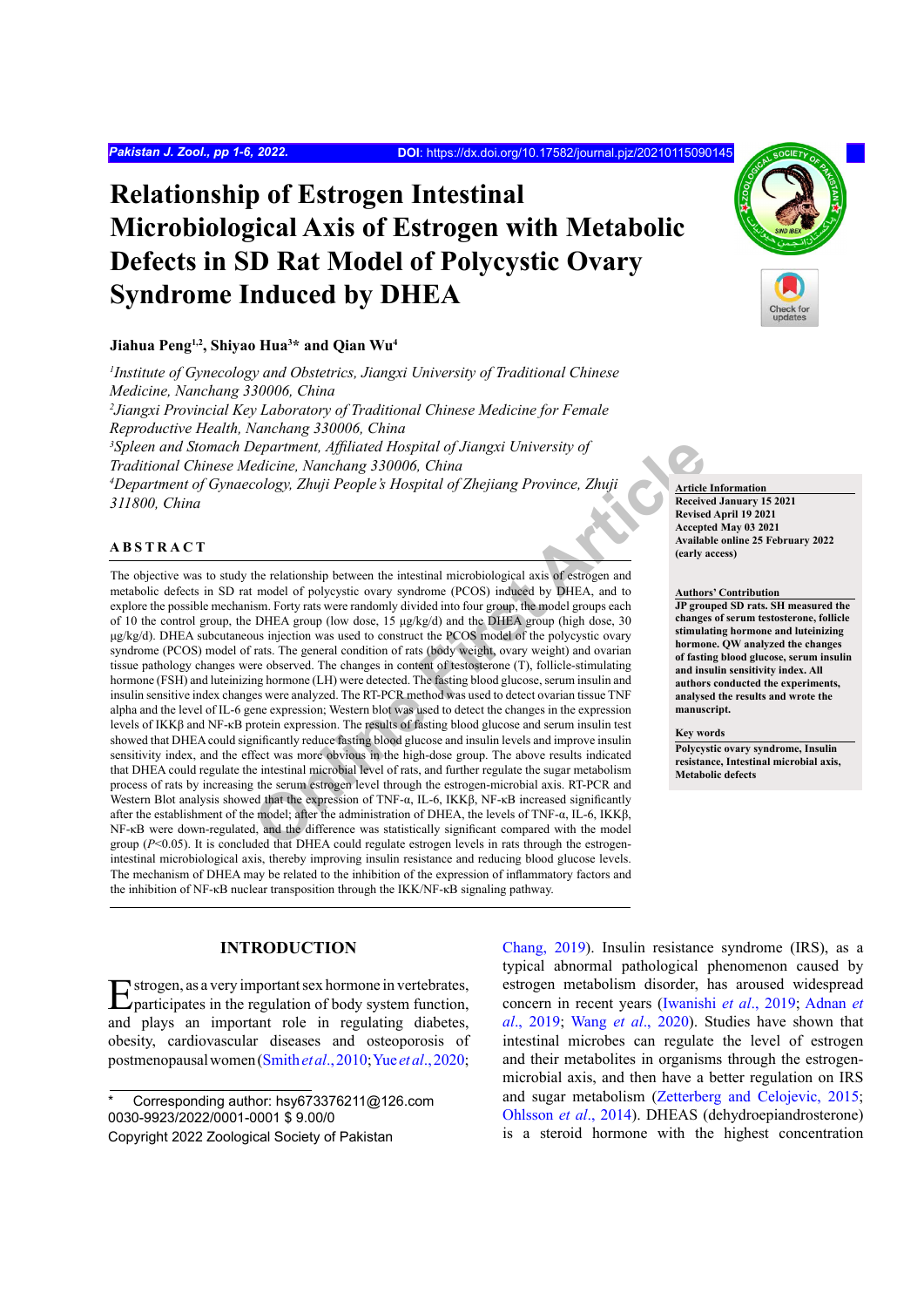# **Relationship of Estrogen Intestinal Microbiological Axis of Estrogen with Metabolic Defects in SD Rat Model of Polycystic Ovary Syndrome Induced by DHEA**

#### **Jiahua Peng1,2, Shiyao Hua3 \* and Qian Wu4**

*1 Institute of Gynecology and Obstetrics, Jiangxi University of Traditional Chinese Medicine, Nanchang 330006, China 2 Jiangxi Provincial Key Laboratory of Traditional Chinese Medicine for Female Reproductive Health, Nanchang 330006, China* <sup>3</sup> Spleen and Stomach Department, Affiliated Hospital of Jiangxi University of *Traditional Chinese Medicine, Nanchang 330006, China 4 Department of Gynaecology, Zhuji People's Hospital of Zhejiang Province, Zhuji 311800, China*

#### **ABSTRACT**

**Department, Affiliated Hospital of Jiangxi University of**<br> **Online First Article Cology, Zhuji** People's Hospital of Zhejiang Province, Zhuji<br> **Cology, Zhuji** People's Hospital of Zhejiang Province, Zhuji<br> **Cology, Zhuji** The objective was to study the relationship between the intestinal microbiological axis of estrogen and metabolic defects in SD rat model of polycystic ovary syndrome (PCOS) induced by DHEA, and to explore the possible mechanism. Forty rats were randomly divided into four group, the model groups each of 10 the control group, the DHEA group (low dose, 15 μg/kg/d) and the DHEA group (high dose, 30 μg/kg/d). DHEA subcutaneous injection was used to construct the PCOS model of the polycystic ovary syndrome (PCOS) model of rats. The general condition of rats (body weight, ovary weight) and ovarian tissue pathology changes were observed. The changes in content of testosterone (T), follicle-stimulating hormone (FSH) and luteinizing hormone (LH) were detected. The fasting blood glucose, serum insulin and insulin sensitive index changes were analyzed. The RT-PCR method was used to detect ovarian tissue TNF alpha and the level of IL-6 gene expression; Western blot was used to detect the changes in the expression levels of IKKβ and NF-κB protein expression. The results of fasting blood glucose and serum insulin test showed that DHEA could significantly reduce fasting blood glucose and insulin levels and improve insulin sensitivity index, and the effect was more obvious in the high-dose group. The above results indicated that DHEA could regulate the intestinal microbial level of rats, and further regulate the sugar metabolism process of rats by increasing the serum estrogen level through the estrogen-microbial axis. RT-PCR and Western Blot analysis showed that the expression of TNF-α, IL-6, IKKβ, NF-κB increased significantly after the establishment of the model; after the administration of DHEA, the levels of TNF-α, IL-6, IKKβ, NF-κB were down-regulated, and the difference was statistically significant compared with the model group ( $P<0.05$ ). It is concluded that DHEA could regulate estrogen levels in rats through the estrogenintestinal microbiological axis, thereby improving insulin resistance and reducing blood glucose levels. The mechanism of DHEA may be related to the inhibition of the expression of inflammatory factors and the inhibition of NF-κB nuclear transposition through the IKK/NF-κB signaling pathway.

# **INTRODUCTION**

Estrogen, as a very important sex hormone in vertebrates, participates in the regulation of body system function, and plays an important role in regulating diabetes, obesity, cardiovascular diseases and osteoporosis of postmenopausal women [\(Smith](#page-5-0) *et al*., 2010; Yue *et al*[., 2020](#page-5-1);

[Chang, 2019](#page-4-0)). Insulin resistance syndrome (IRS), as a typical abnormal pathological phenomenon caused by estrogen metabolism disorder, has aroused widespread concern in recent years [\(Iwanishi](#page-4-1) *et al*., 2019; [Adnan](#page-4-2) *et al*[., 2019](#page-4-2); Wang *et al*[., 2020\)](#page-5-2). Studies have shown that intestinal microbes can regulate the level of estrogen and their metabolites in organisms through the estrogenmicrobial axis, and then have a better regulation on IRS and sugar metabolism [\(Zetterberg and Celojevic, 2015;](#page-5-3) Ohlsson *et al*., 2014). DHEAS (dehydroepiandrosterone) is a steroid hormone with the highest concentration

**Article Information Received January 15 2021 Revised April 19 2021 Accepted May 03 2021 Available online 25 February 2022 (early access)**

#### **Authors' Contribution**

**JP grouped SD rats. SH measured the changes of serum testosterone, follicle stimulating hormone and luteinizing hormone. QW analyzed the changes of fasting blood glucose, serum insulin and insulin sensitivity index. All authors conducted the experiments, analysed the results and wrote the manuscript.**

#### **Key words**

**Polycystic ovary syndrome, Insulin resistance, Intestinal microbial axis, Metabolic defects**



Corresponding author: hsy673376211@126.com 0030-9923/2022/0001-0001 \$ 9.00/0 Copyright 2022 Zoological Society of Pakistan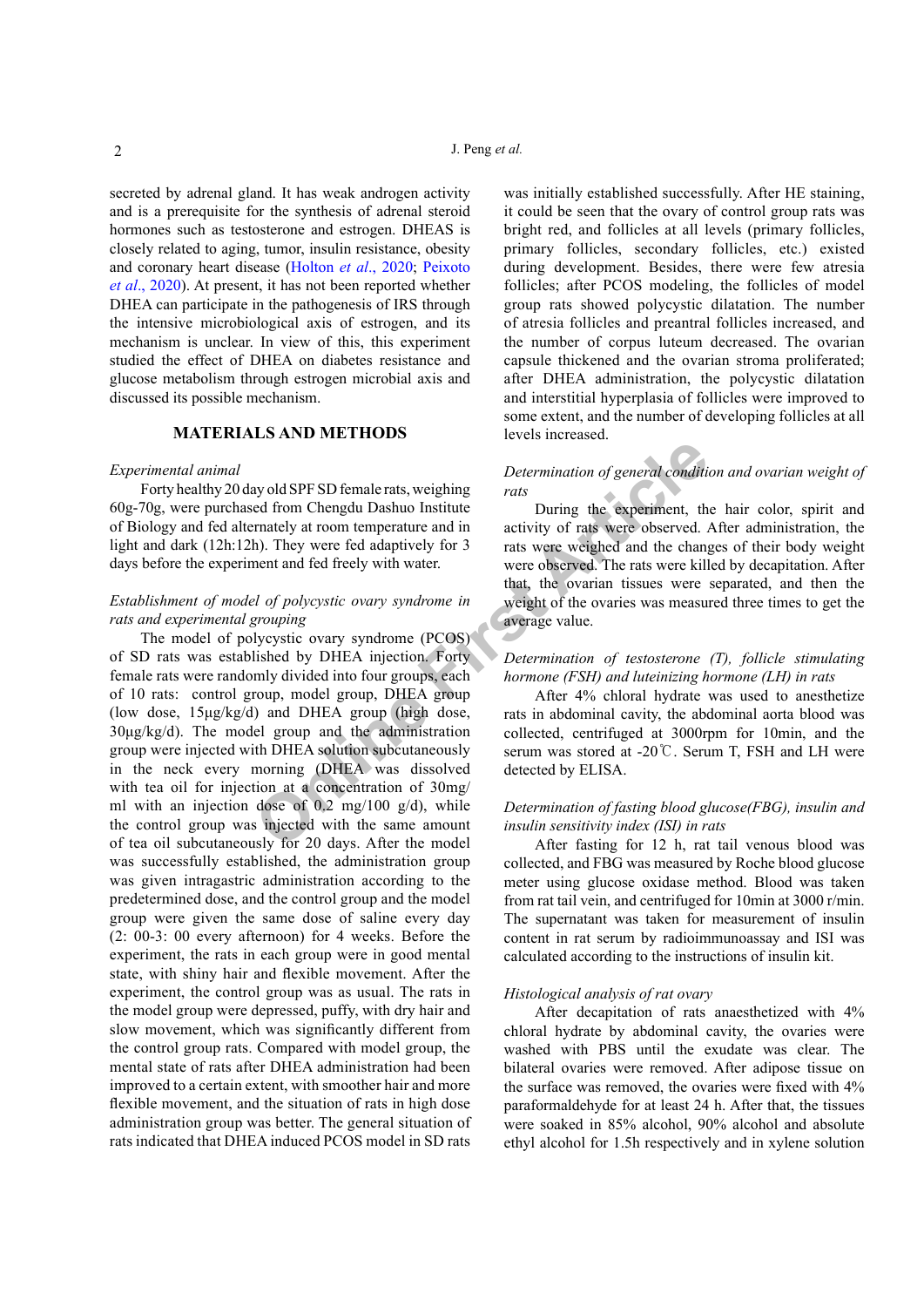secreted by adrenal gland. It has weak androgen activity and is a prerequisite for the synthesis of adrenal steroid hormones such as testosterone and estrogen. DHEAS is closely related to aging, tumor, insulin resistance, obesity and coronary heart disease [\(Holton](#page-4-3) *et al*., 2020; [Peixoto](#page-5-4) *et al*[., 2020\)](#page-5-4). At present, it has not been reported whether DHEA can participate in the pathogenesis of IRS through the intensive microbiological axis of estrogen, and its mechanism is unclear. In view of this, this experiment studied the effect of DHEA on diabetes resistance and glucose metabolism through estrogen microbial axis and discussed its possible mechanism.

# **MATERIALS AND METHODS**

# *Experimental animal*

Forty healthy 20 day old SPF SD female rats, weighing 60g-70g, were purchased from Chengdu Dashuo Institute of Biology and fed alternately at room temperature and in light and dark (12h:12h). They were fed adaptively for 3 days before the experiment and fed freely with water.

# *Establishment of model of polycystic ovary syndrome in rats and experimental grouping*

ay old SPF SD female rats, weighing<br>
Determination of general conditioned<br>
from Chengdu Dashuo Institute<br>
In activity of rats were observed.<br>
In activity of rats were observed and the change<br>
and the change weight of the o The model of polycystic ovary syndrome (PCOS) of SD rats was established by DHEA injection. Forty female rats were randomly divided into four groups, each of 10 rats: control group, model group, DHEA group (low dose, 15μg/kg/d) and DHEA group (high dose, 30μg/kg/d). The model group and the administration group were injected with DHEA solution subcutaneously in the neck every morning (DHEA was dissolved with tea oil for injection at a concentration of 30mg/ ml with an injection dose of  $0.2 \text{ mg}/100 \text{ g}/d$ , while the control group was injected with the same amount of tea oil subcutaneously for 20 days. After the model was successfully established, the administration group was given intragastric administration according to the predetermined dose, and the control group and the model group were given the same dose of saline every day (2: 00-3: 00 every afternoon) for 4 weeks. Before the experiment, the rats in each group were in good mental state, with shiny hair and flexible movement. After the experiment, the control group was as usual. The rats in the model group were depressed, puffy, with dry hair and slow movement, which was significantly different from the control group rats. Compared with model group, the mental state of rats after DHEA administration had been improved to a certain extent, with smoother hair and more flexible movement, and the situation of rats in high dose administration group was better. The general situation of rats indicated that DHEA induced PCOS model in SD rats

was initially established successfully. After HE staining, it could be seen that the ovary of control group rats was bright red, and follicles at all levels (primary follicles, primary follicles, secondary follicles, etc.) existed during development. Besides, there were few atresia follicles; after PCOS modeling, the follicles of model group rats showed polycystic dilatation. The number of atresia follicles and preantral follicles increased, and the number of corpus luteum decreased. The ovarian capsule thickened and the ovarian stroma proliferated; after DHEA administration, the polycystic dilatation and interstitial hyperplasia of follicles were improved to some extent, and the number of developing follicles at all levels increased.

# *Determination of general condition and ovarian weight of rats*

During the experiment, the hair color, spirit and activity of rats were observed. After administration, the rats were weighed and the changes of their body weight were observed. The rats were killed by decapitation. After that, the ovarian tissues were separated, and then the weight of the ovaries was measured three times to get the average value.

# *Determination of testosterone (T), follicle stimulating hormone (FSH) and luteinizing hormone (LH) in rats*

After 4% chloral hydrate was used to anesthetize rats in abdominal cavity, the abdominal aorta blood was collected, centrifuged at 3000rpm for 10min, and the serum was stored at -20℃. Serum T, FSH and LH were detected by ELISA.

# *Determination of fasting blood glucose(FBG), insulin and insulin sensitivity index (ISI) in rats*

After fasting for 12 h, rat tail venous blood was collected, and FBG was measured by Roche blood glucose meter using glucose oxidase method. Blood was taken from rat tail vein, and centrifuged for 10min at 3000 r/min. The supernatant was taken for measurement of insulin content in rat serum by radioimmunoassay and ISI was calculated according to the instructions of insulin kit.

#### *Histological analysis of rat ovary*

After decapitation of rats anaesthetized with 4% chloral hydrate by abdominal cavity, the ovaries were washed with PBS until the exudate was clear. The bilateral ovaries were removed. After adipose tissue on the surface was removed, the ovaries were fixed with 4% paraformaldehyde for at least 24 h. After that, the tissues were soaked in 85% alcohol, 90% alcohol and absolute ethyl alcohol for 1.5h respectively and in xylene solution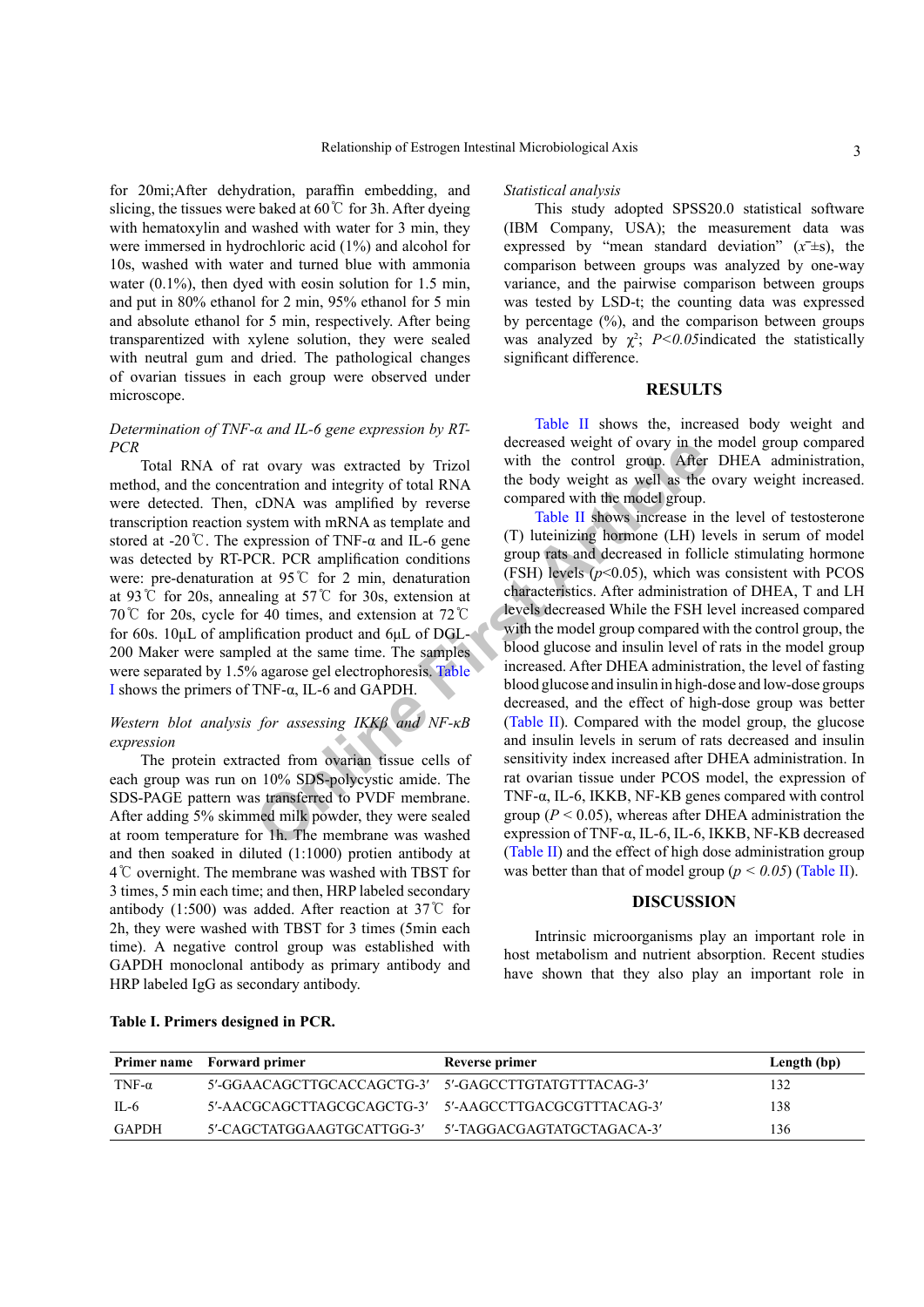for 20mi;After dehydration, paraffin embedding, and slicing, the tissues were baked at  $60^{\circ}$  for 3h. After dyeing with hematoxylin and washed with water for 3 min, they were immersed in hydrochloric acid (1%) and alcohol for 10s, washed with water and turned blue with ammonia water  $(0.1\%)$ , then dyed with eosin solution for 1.5 min, and put in 80% ethanol for 2 min, 95% ethanol for 5 min and absolute ethanol for 5 min, respectively. After being transparentized with xylene solution, they were sealed with neutral gum and dried. The pathological changes of ovarian tissues in each group were observed under microscope.

### *Determination of TNF-α and IL-6 gene expression by RT-PCR*

Total RNA of rat ovary was extracted by Trizol method, and the concentration and integrity of total RNA were detected. Then, cDNA was amplified by reverse transcription reaction system with mRNA as template and stored at -20℃. The expression of TNF- $\alpha$  and IL-6 gene was detected by RT-PCR. PCR amplification conditions were: pre-denaturation at 95℃ for 2 min, denaturation at 93℃ for 20s, annealing at 57℃ for 30s, extension at 70℃ for 20s, cycle for 40 times, and extension at 72℃ for 60s. 10μL of amplification product and 6μL of DGL-200 Maker were sampled at the same time. The samples were separated by 1.5% agarose gel electrophoresis. Table [I](#page-2-0) shows the primers of TNF-α, IL-6 and GAPDH.

# *Western blot analysis for assessing IKKβ and NF-κB expression*

The protein extracted from ovarian tissue cells of each group was run on 10% SDS-polycystic amide. The SDS-PAGE pattern was transferred to PVDF membrane. After adding 5% skimmed milk powder, they were sealed at room temperature for 1h. The membrane was washed and then soaked in diluted (1:1000) protien antibody at 4℃ overnight. The membrane was washed with TBST for 3 times, 5 min each time; and then, HRP labeled secondary antibody (1:500) was added. After reaction at 37℃ for 2h, they were washed with TBST for 3 times (5min each time). A negative control group was established with GAPDH monoclonal antibody as primary antibody and HRP labeled IgG as secondary antibody.

#### *Statistical analysis*

This study adopted SPSS20.0 statistical software (IBM Company, USA); the measurement data was expressed by "mean standard deviation"  $(x^{\pm}$ s), the comparison between groups was analyzed by one-way variance, and the pairwise comparison between groups was tested by LSD-t; the counting data was expressed by percentage  $(\%)$ , and the comparison between groups was analyzed by  $\chi^2$ ; *P<0.05* indicated the statistically significant difference.

# **RESULTS**

[Table II](#page-3-0) shows the, increased body weight and decreased weight of ovary in the model group compared with the control group. After DHEA administration, the body weight as well as the ovary weight increased. compared with the model group.

towa[r](#page-3-0)y was extracted by Trizol<br>
with the control group. After<br>
the tody weight as well as the<br>
cDNA was amplified by reverse<br>
compared with the model group.<br>
System with mRNA as template and<br>
pression of TNF-a and IL-6 ge Table II shows increase in the level of testosterone (T) luteinizing hormone (LH) levels in serum of model group rats and decreased in follicle stimulating hormone (FSH) levels  $(p<0.05)$ , which was consistent with PCOS characteristics. After administration of DHEA, T and LH levels decreased While the FSH level increased compared with the model group compared with the control group, the blood glucose and insulin level of rats in the model group increased. After DHEA administration, the level of fasting blood glucose and insulin in high-dose and low-dose groups decreased, and the effect of high-dose group was better (Table II). Compared with the model group, the glucose and insulin levels in serum of rats decreased and insulin sensitivity index increased after DHEA administration. In rat ovarian tissue under PCOS model, the expression of TNF-α, IL-6, IKKB, NF-KB genes compared with control group ( $P < 0.05$ ), whereas after DHEA administration the expression of TNF-α, IL-6, IL-6, IKKB, NF-KB decreased [\(Table II](#page-3-0)) and the effect of high dose administration group was better than that of model group  $(p < 0.05)$  [\(Table II](#page-3-0)).

### **DISCUSSION**

Intrinsic microorganisms play an important role in host metabolism and nutrient absorption. Recent studies have shown that they also play an important role in

|               | Primer name Forward primer                            | Reverse primer | Length (bp) |
|---------------|-------------------------------------------------------|----------------|-------------|
| TNF- $\alpha$ | 5'-GGAACAGCTTGCACCAGCTG-3' 5'-GAGCCTTGTATGTTTACAG-3'  |                | 132         |
| $II - 6$      | 5'-AACGCAGCTTAGCGCAGCTG-3' 5'-AAGCCTTGACGCGTTTACAG-3' |                | 138         |
| GAPDH         | 5'-CAGCTATGGAAGTGCATTGG-3' 5'-TAGGACGAGTATGCTAGACA-3' |                | 136         |

#### <span id="page-2-0"></span>**Table I. Primers designed in PCR.**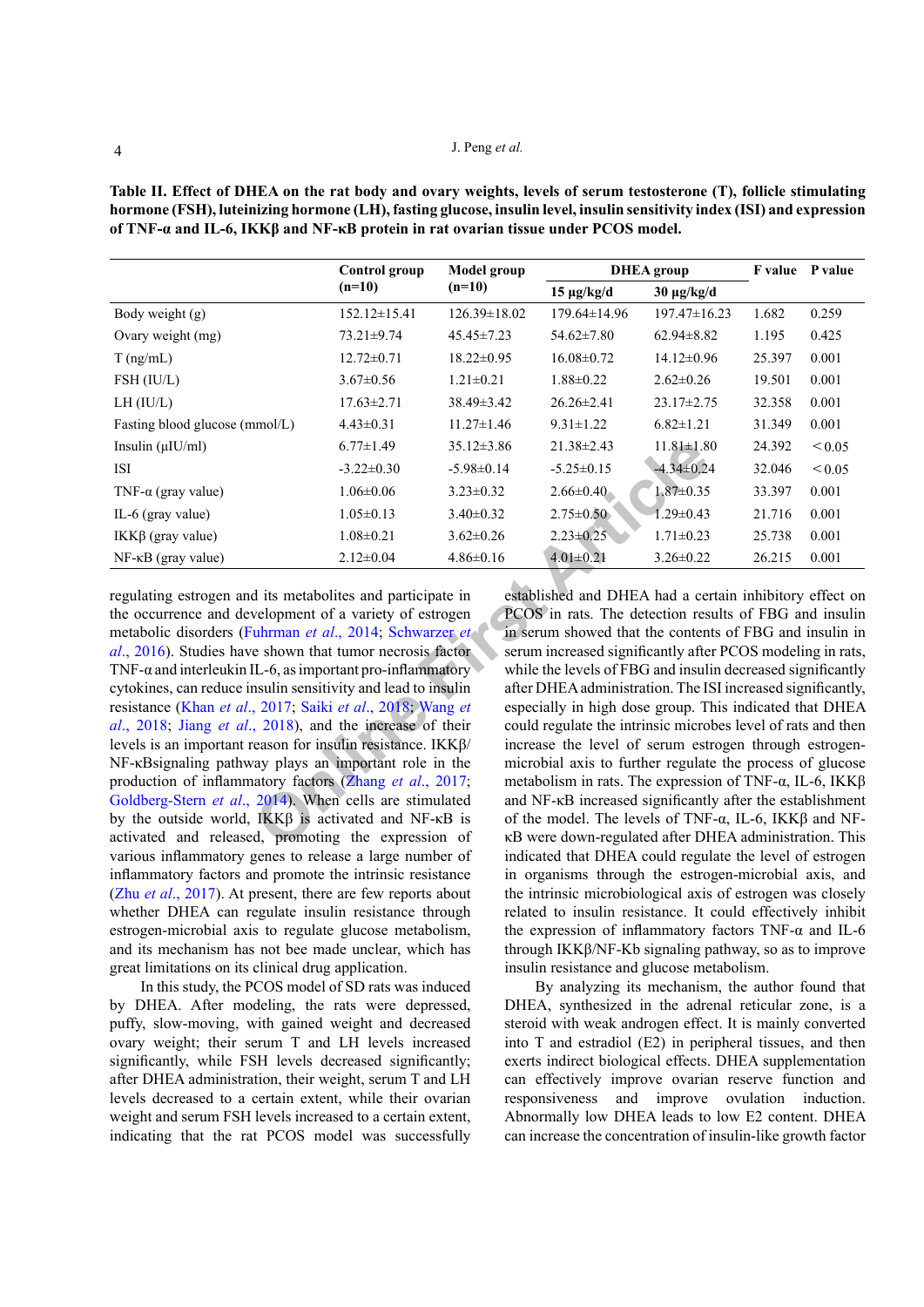<span id="page-3-0"></span>**Table II. Effect of DHEA on the rat body and ovary weights, levels of serum testosterone (T), follicle stimulating hormone (FSH), luteinizing hormone (LH), fasting glucose, insulin level, insulin sensitivity index (ISI) and expression of TNF-α and IL-6, IKKβ and NF-κB protein in rat ovarian tissue under PCOS model.**

| Control group                                                                                                                                                                                                                                                                                                                                                                                                                                                                                                                                                                                                                                                                                                                                                                                                                                                                                                                                                                                                                                                                                                                                                                                                                                                                                                                                                                                                                                                                                                                                                                                                                                                               | <b>Model group</b> | <b>DHEA</b> group                                   |                    |        | F value P value                                        |  |  |  |
|-----------------------------------------------------------------------------------------------------------------------------------------------------------------------------------------------------------------------------------------------------------------------------------------------------------------------------------------------------------------------------------------------------------------------------------------------------------------------------------------------------------------------------------------------------------------------------------------------------------------------------------------------------------------------------------------------------------------------------------------------------------------------------------------------------------------------------------------------------------------------------------------------------------------------------------------------------------------------------------------------------------------------------------------------------------------------------------------------------------------------------------------------------------------------------------------------------------------------------------------------------------------------------------------------------------------------------------------------------------------------------------------------------------------------------------------------------------------------------------------------------------------------------------------------------------------------------------------------------------------------------------------------------------------------------|--------------------|-----------------------------------------------------|--------------------|--------|--------------------------------------------------------|--|--|--|
| $(n=10)$                                                                                                                                                                                                                                                                                                                                                                                                                                                                                                                                                                                                                                                                                                                                                                                                                                                                                                                                                                                                                                                                                                                                                                                                                                                                                                                                                                                                                                                                                                                                                                                                                                                                    | $(n=10)$           | $15 \mu g/kg/d$                                     | $30 \mu g/kg/d$    |        |                                                        |  |  |  |
| $152.12 \pm 15.41$                                                                                                                                                                                                                                                                                                                                                                                                                                                                                                                                                                                                                                                                                                                                                                                                                                                                                                                                                                                                                                                                                                                                                                                                                                                                                                                                                                                                                                                                                                                                                                                                                                                          | 126.39±18.02       | $179.64 \pm 14.96$                                  | $197.47 \pm 16.23$ | 1.682  | 0.259                                                  |  |  |  |
| 73.21±9.74                                                                                                                                                                                                                                                                                                                                                                                                                                                                                                                                                                                                                                                                                                                                                                                                                                                                                                                                                                                                                                                                                                                                                                                                                                                                                                                                                                                                                                                                                                                                                                                                                                                                  | $45.45 \pm 7.23$   | $54.62 \pm 7.80$                                    | $62.94 \pm 8.82$   | 1.195  | 0.425                                                  |  |  |  |
| $12.72 \pm 0.71$                                                                                                                                                                                                                                                                                                                                                                                                                                                                                                                                                                                                                                                                                                                                                                                                                                                                                                                                                                                                                                                                                                                                                                                                                                                                                                                                                                                                                                                                                                                                                                                                                                                            | $18.22 \pm 0.95$   | $16.08 \pm 0.72$                                    | 14.12±0.96         | 25.397 | 0.001                                                  |  |  |  |
| $3.67 \pm 0.56$                                                                                                                                                                                                                                                                                                                                                                                                                                                                                                                                                                                                                                                                                                                                                                                                                                                                                                                                                                                                                                                                                                                                                                                                                                                                                                                                                                                                                                                                                                                                                                                                                                                             | $1.21 \pm 0.21$    | $1.88 \pm 0.22$                                     | $2.62 \pm 0.26$    | 19.501 | 0.001                                                  |  |  |  |
| $17.63 \pm 2.71$                                                                                                                                                                                                                                                                                                                                                                                                                                                                                                                                                                                                                                                                                                                                                                                                                                                                                                                                                                                                                                                                                                                                                                                                                                                                                                                                                                                                                                                                                                                                                                                                                                                            | 38.49±3.42         | 26.26±2.41                                          | $23.17 \pm 2.75$   | 32.358 | 0.001                                                  |  |  |  |
| $4.43 \pm 0.31$                                                                                                                                                                                                                                                                                                                                                                                                                                                                                                                                                                                                                                                                                                                                                                                                                                                                                                                                                                                                                                                                                                                                                                                                                                                                                                                                                                                                                                                                                                                                                                                                                                                             | $11.27 \pm 1.46$   | $9.31 \pm 1.22$                                     | $6.82 \pm 1.21$    | 31.349 | 0.001                                                  |  |  |  |
| $6.77 \pm 1.49$                                                                                                                                                                                                                                                                                                                                                                                                                                                                                                                                                                                                                                                                                                                                                                                                                                                                                                                                                                                                                                                                                                                                                                                                                                                                                                                                                                                                                                                                                                                                                                                                                                                             | $35.12 \pm 3.86$   | $21.38 \pm 2.43$                                    | $11.81 \pm 1.80$   | 24.392 | ${}_{0.05}$                                            |  |  |  |
| $-3.22 \pm 0.30$                                                                                                                                                                                                                                                                                                                                                                                                                                                                                                                                                                                                                                                                                                                                                                                                                                                                                                                                                                                                                                                                                                                                                                                                                                                                                                                                                                                                                                                                                                                                                                                                                                                            | $-5.98 \pm 0.14$   | $-5.25 \pm 0.15$                                    | $-4.34 \pm 0.24$   | 32.046 | ${}_{0.05}$                                            |  |  |  |
| $1.06 \pm 0.06$                                                                                                                                                                                                                                                                                                                                                                                                                                                                                                                                                                                                                                                                                                                                                                                                                                                                                                                                                                                                                                                                                                                                                                                                                                                                                                                                                                                                                                                                                                                                                                                                                                                             | $3.23 \pm 0.32$    | $2.66 \pm 0.40$                                     | $1.87 \pm 0.35$    | 33.397 | 0.001                                                  |  |  |  |
| $1.05 \pm 0.13$                                                                                                                                                                                                                                                                                                                                                                                                                                                                                                                                                                                                                                                                                                                                                                                                                                                                                                                                                                                                                                                                                                                                                                                                                                                                                                                                                                                                                                                                                                                                                                                                                                                             | $3.40 \pm 0.32$    | $2.75 \pm 0.50$                                     | $1.29 \pm 0.43$    | 21.716 | 0.001                                                  |  |  |  |
| $1.08 \pm 0.21$                                                                                                                                                                                                                                                                                                                                                                                                                                                                                                                                                                                                                                                                                                                                                                                                                                                                                                                                                                                                                                                                                                                                                                                                                                                                                                                                                                                                                                                                                                                                                                                                                                                             | $3.62 \pm 0.26$    | $2.23 \pm 0.25$                                     | $1.71 \pm 0.23$    | 25.738 | 0.001                                                  |  |  |  |
| $2.12 \pm 0.04$                                                                                                                                                                                                                                                                                                                                                                                                                                                                                                                                                                                                                                                                                                                                                                                                                                                                                                                                                                                                                                                                                                                                                                                                                                                                                                                                                                                                                                                                                                                                                                                                                                                             | $4.86 \pm 0.16$    | $4.01 \pm 0.21$                                     | $3.26 \pm 0.22$    | 26.215 | 0.001                                                  |  |  |  |
| established and DHEA had a certain inhibitory effect on<br>regulating estrogen and its metabolites and participate in<br>the occurrence and development of a variety of estrogen<br>PCOS in rats. The detection results of FBG and insulin<br>metabolic disorders (Fuhrman et al., 2014; Schwarzer et<br>in serum showed that the contents of FBG and insulin in<br>al., 2016). Studies have shown that tumor necrosis factor<br>serum increased significantly after PCOS modeling in rats.<br>while the levels of FBG and insulin decreased significantly<br>TNF- $\alpha$ and interleukin IL-6, as important pro-inflammatory<br>cytokines, can reduce insulin sensitivity and lead to insulin<br>after DHEA administration. The ISI increased significantly,<br>resistance (Khan et al., 2017; Saiki et al., 2018; Wang et<br>especially in high dose group. This indicated that DHEA<br>could regulate the intrinsic microbes level of rats and then<br>al., 2018; Jiang et al., 2018), and the increase of their<br>levels is an important reason for insulin resistance. $IKK\beta$ /<br>increase the level of serum estrogen through estrogen-<br>NF-KB signaling pathway plays an important role in the<br>microbial axis to further regulate the process of glucose<br>production of inflammatory factors (Zhang et al., 2017;<br>metabolism in rats. The expression of TNF- $\alpha$ , IL-6, IKK $\beta$<br>Goldberg-Stern et al., 2014). When cells are stimulated<br>and NF-KB increased significantly after the establishment<br>by the outside world, IKKβ is activated and NF-κB is<br>of the model. The levels of TNF- $\alpha$ , IL-6, IKK $\beta$ and NF- |                    |                                                     |                    |        |                                                        |  |  |  |
|                                                                                                                                                                                                                                                                                                                                                                                                                                                                                                                                                                                                                                                                                                                                                                                                                                                                                                                                                                                                                                                                                                                                                                                                                                                                                                                                                                                                                                                                                                                                                                                                                                                                             |                    | activated and released, promoting the expression of |                    |        | KB were down-regulated after DHEA administration. This |  |  |  |

regulating estrogen and its metabolites and participate in the occurrence and development of a variety of estrogen metabolic disorders (Fuhrman *et al*., 2014; Schwarzer *et al*[., 2016\)](#page-5-5). Studies have shown that tumor necrosis factor TNF- $\alpha$  and interleukin IL-6, as important pro-inflammatory cytokines, can reduce insulin sensitivity and lead to insulin resistance (Khan *et al*., 2017; Saiki *et al*., 2018; Wang *et al*[., 2018](#page-5-7); Jiang *et al*., 2018), and the increase of their levels is an important reason for insulin resistance. IKKβ/ NF-κBsignaling pathway plays an important role in the production of inflammatory factors (Zhang *et al*., 2017; [Goldberg-Stern](#page-4-7) *et al*., 2014). When cells are stimulated by the outside world, IKKβ is activated and NF-κB is activated and released, promoting the expression of various inflammatory genes to release a large number of inflammatory factors and promote the intrinsic resistance (Zhu *et al*[., 2017\)](#page-5-9). At present, there are few reports about whether DHEA can regulate insulin resistance through estrogen-microbial axis to regulate glucose metabolism, and its mechanism has not bee made unclear, which has great limitations on its clinical drug application.

In this study, the PCOS model of SD rats was induced by DHEA. After modeling, the rats were depressed, puffy, slow-moving, with gained weight and decreased ovary weight; their serum T and LH levels increased significantly, while FSH levels decreased significantly; after DHEA administration, their weight, serum T and LH levels decreased to a certain extent, while their ovarian weight and serum FSH levels increased to a certain extent, indicating that the rat PCOS model was successfully

established and DHEA had a certain inhibitory effect on PCOS in rats. The detection results of FBG and insulin in serum showed that the contents of FBG and insulin in serum increased significantly after PCOS modeling in rats, while the levels of FBG and insulin decreased significantly after DHEA administration. The ISI increased significantly, especially in high dose group. This indicated that DHEA could regulate the intrinsic microbes level of rats and then increase the level of serum estrogen through estrogenmicrobial axis to further regulate the process of glucose metabolism in rats. The expression of TNF-α, IL-6, IKKβ and NF-κB increased significantly after the establishment of the model. The levels of TNF-α, IL-6, IKKβ and NFκB were down-regulated after DHEA administration. This indicated that DHEA could regulate the level of estrogen in organisms through the estrogen-microbial axis, and the intrinsic microbiological axis of estrogen was closely related to insulin resistance. It could effectively inhibit the expression of inflammatory factors TNF- $\alpha$  and IL-6 through IKKβ/NF-Κb signaling pathway, so as to improve insulin resistance and glucose metabolism.

By analyzing its mechanism, the author found that DHEA, synthesized in the adrenal reticular zone, is a steroid with weak androgen effect. It is mainly converted into T and estradiol (E2) in peripheral tissues, and then exerts indirect biological effects. DHEA supplementation can effectively improve ovarian reserve function and responsiveness and improve ovulation induction. Abnormally low DHEA leads to low E2 content. DHEA can increase the concentration of insulin-like growth factor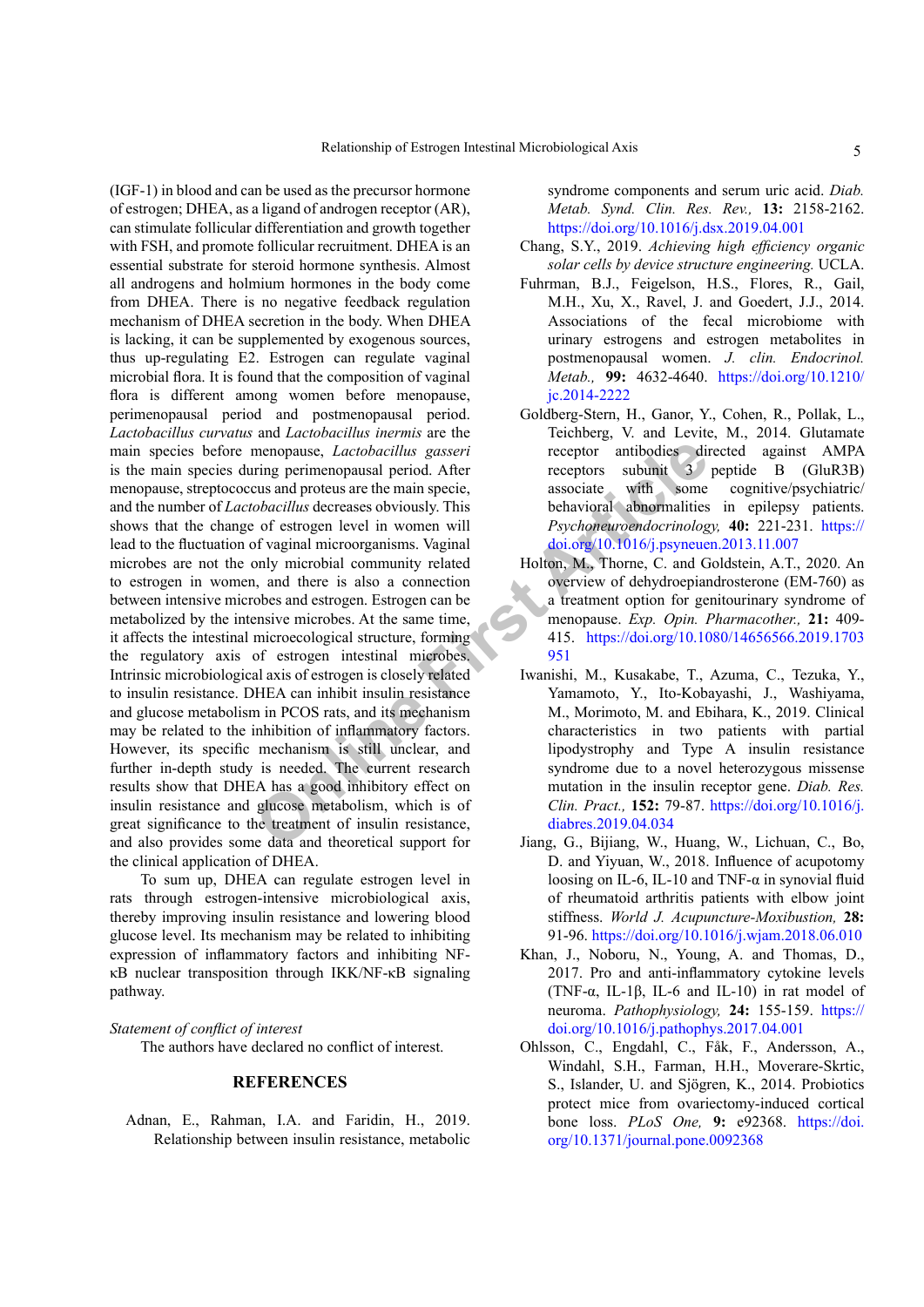menopause, *Lactobacillus gasseri* receptor antibodies diring perimenopausal period. After receptors subumit 3<br>
cobacillus decreases obviously. This behavioral abormalities<br>
of estrogen level in women will<br>
of of estrogen (IGF-1) in blood and can be used as the precursor hormone of estrogen; DHEA, as a ligand of androgen receptor (AR), can stimulate follicular differentiation and growth together with FSH, and promote follicular recruitment. DHEA is an essential substrate for steroid hormone synthesis. Almost all androgens and holmium hormones in the body come from DHEA. There is no negative feedback regulation mechanism of DHEA secretion in the body. When DHEA is lacking, it can be supplemented by exogenous sources, thus up-regulating E2. Estrogen can regulate vaginal microbial flora. It is found that the composition of vaginal flora is different among women before menopause, perimenopausal period and postmenopausal period. *Lactobacillus curvatus* and *Lactobacillus inermis* are the main species before menopause, *Lactobacillus gasseri* is the main species during perimenopausal period. After menopause, streptococcus and proteus are the main specie, and the number of *Lactobacillus* decreases obviously. This shows that the change of estrogen level in women will lead to the fluctuation of vaginal microorganisms. Vaginal microbes are not the only microbial community related to estrogen in women, and there is also a connection between intensive microbes and estrogen. Estrogen can be metabolized by the intensive microbes. At the same time, it affects the intestinal microecological structure, forming the regulatory axis of estrogen intestinal microbes. Intrinsic microbiological axis of estrogen is closely related to insulin resistance. DHEA can inhibit insulin resistance and glucose metabolism in PCOS rats, and its mechanism may be related to the inhibition of inflammatory factors. However, its specific mechanism is still unclear, and further in-depth study is needed. The current research results show that DHEA has a good inhibitory effect on insulin resistance and glucose metabolism, which is of great significance to the treatment of insulin resistance, and also provides some data and theoretical support for the clinical application of DHEA.

To sum up, DHEA can regulate estrogen level in rats through estrogen-intensive microbiological axis, thereby improving insulin resistance and lowering blood glucose level. Its mechanism may be related to inhibiting expression of inflammatory factors and inhibiting NFκB nuclear transposition through IKK/NF-κB signaling pathway.

### *Statement of conflict of interest*

The authors have declared no conflict of interest.

## **REFERENCES**

<span id="page-4-2"></span>Adnan, E., Rahman, I.A. and Faridin, H., 2019. Relationship between insulin resistance, metabolic syndrome components and serum uric acid. *Diab. Metab. Synd. Clin. Res. Rev.,* **13:** 2158-2162. <https://doi.org/10.1016/j.dsx.2019.04.001>

- <span id="page-4-0"></span>Chang, S.Y., 2019. *Achieving high efficiency organic solar cells by device structure engineering.* UCLA.
- <span id="page-4-4"></span>Fuhrman, B.J., Feigelson, H.S., Flores, R., Gail, M.H., Xu, X., Ravel, J. and Goedert, J.J., 2014. Associations of the fecal microbiome with urinary estrogens and estrogen metabolites in postmenopausal women. *J. clin. Endocrinol. Metab.,* **99:** 4632-4640. [https://doi.org/10.1210/](https://doi.org/10.1210/jc.2014-2222) [jc.2014-2222](https://doi.org/10.1210/jc.2014-2222)
- <span id="page-4-7"></span>Goldberg-Stern, H., Ganor, Y., Cohen, R., Pollak, L., Teichberg, V. and Levite, M., 2014. Glutamate receptor antibodies directed against AMPA receptors subunit 3 peptide B (GluR3B) associate with some cognitive/psychiatric/ associate with some cognitive/psychiatric/ behavioral abnormalities in epilepsy patients. *Psychoneuroendocrinology,* **40:** 221-231. [https://](https://doi.org/10.1016/j.psyneuen.2013.11.007) [doi.org/10.1016/j.psyneuen.2013.11.007](https://doi.org/10.1016/j.psyneuen.2013.11.007)
- <span id="page-4-3"></span>Holton, M., Thorne, C. and Goldstein, A.T., 2020. An overview of dehydroepiandrosterone (EM-760) as a treatment option for genitourinary syndrome of menopause. *Exp. Opin. Pharmacother.,* **21:** 409- 415. [https://doi.org/10.1080/14656566.2019.1703](https://doi.org/10.1080/14656566.2019.1703951) 951
- <span id="page-4-1"></span>Iwanishi, M., Kusakabe, T., Azuma, C., Tezuka, Y., Yamamoto, Y., Ito-Kobayashi, J., Washiyama, M., Morimoto, M. and Ebihara, K., 2019. Clinical characteristics in two patients with partial lipodystrophy and Type A insulin resistance syndrome due to a novel heterozygous missense mutation in the insulin receptor gene. *Diab. Res. Clin. Pract.,* **152:** 79-87. [https://doi.org/10.1016/j.](https://doi.org/10.1016/j.diabres.2019.04.034) diabres.2019.04.034
- <span id="page-4-6"></span>Jiang, G., Bijiang, W., Huang, W., Lichuan, C., Bo, D. and Yiyuan, W., 2018. Influence of acupotomy loosing on IL-6, IL-10 and TNF- $\alpha$  in synovial fluid of rheumatoid arthritis patients with elbow joint stiffness. *World J. Acupuncture-Moxibustion,* **28:**  91-96. <https://doi.org/10.1016/j.wjam.2018.06.010>
- <span id="page-4-5"></span>Khan, J., Noboru, N., Young, A. and Thomas, D., 2017. Pro and anti-inflammatory cytokine levels (TNF-α, IL-1β, IL-6 and IL-10) in rat model of neuroma. *Pathophysiology,* **24:** 155-159. [https://](https://doi.org/10.1016/j.pathophys.2017.04.001) [doi.org/10.1016/j.pathophys.2017.04.001](https://doi.org/10.1016/j.pathophys.2017.04.001)
- Ohlsson, C., Engdahl, C., Fåk, F., Andersson, A., Windahl, S.H., Farman, H.H., Moverare-Skrtic, S., Islander, U. and Sjögren, K., 2014. Probiotics protect mice from ovariectomy-induced cortical bone loss. *PLoS One,* **9:** e92368. [https://doi.](https://doi.org/10.1371/journal.pone.0092368) [org/10.1371/journal.pone.0092368](https://doi.org/10.1371/journal.pone.0092368)